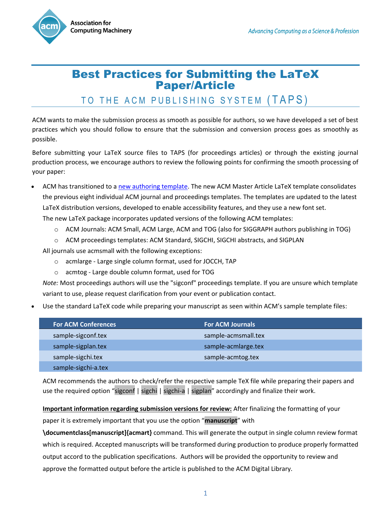

## Best Practices for Submitting the LaTeX Paper/Article

## TO THE ACM PUBLISHING SYSTEM (TAPS)

ACM wants to make the submission process as smooth as possible for authors, so we have developed a set of best practices which you should follow to ensure that the submission and conversion process goes as smoothly as possible.

Before submitting your LaTeX source files to TAPS (for proceedings articles) or through the existing journal production process, we encourage authors to review the following points for confirming the smooth processing of your paper:

ACM has transitioned to a [new authoring template.](https://www.acm.org/publications/taps/word-template-workflow) The new ACM Master Article LaTeX template consolidates the previous eight individual ACM journal and proceedings templates. The templates are updated to the latest LaTeX distribution versions, developed to enable accessibility features, and they use a new font set.

The new LaTeX package incorporates updated versions of the following ACM templates:

- o ACM Journals: ACM Small, ACM Large, ACM and TOG (also for SIGGRAPH authors publishing in TOG)
- o ACM proceedings templates: ACM Standard, SIGCHI, SIGCHI abstracts, and SIGPLAN

All journals use acmsmall with the following exceptions:

- o acmlarge Large single column format, used for JOCCH, TAP
- o acmtog Large double column format, used for TOG

*Note:* Most proceedings authors will use the "sigconf" proceedings template. If you are unsure which template variant to use, please request clarification from your event or publication contact.

Use the standard LaTeX code while preparing your manuscript as seen within ACM's sample template files:

| <b>For ACM Conferences</b> | <b>For ACM Journals</b> |  |
|----------------------------|-------------------------|--|
| sample-sigconf.tex         | sample-acmsmall.tex     |  |
| sample-sigplan.tex         | sample-acmlarge.tex     |  |
| sample-sigchi.tex          | sample-acmtog.tex       |  |
| sample-sigchi-a.tex        |                         |  |

ACM recommends the authors to check/refer the respective sample TeX file while preparing their papers and use the required option "sigconf | sigchi | sigchi-a | sigplan" accordingly and finalize their work.

**Important information regarding submission versions for review:** After finalizing the formatting of your paper it is extremely important that you use the option "**manuscript**" with

**\documentclass[manuscript]{acmart}** command. This will generate the output in single column review format which is required. Accepted manuscripts will be transformed during production to produce properly formatted output accord to the publication specifications. Authors will be provided the opportunity to review and approve the formatted output before the article is published to the ACM Digital Library.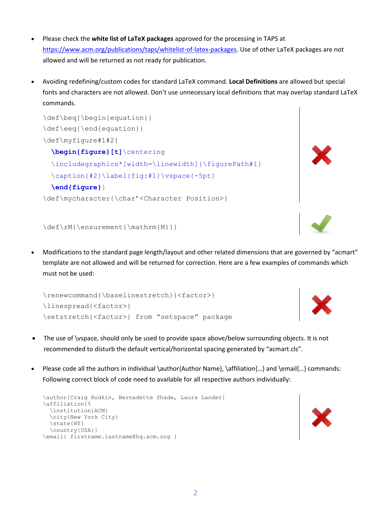- Please check the **white list of LaTeX packages** approved for the processing in TAPS at [https://www.acm.org/publications/taps/whitelist-of-latex-packages.](https://www.acm.org/publications/taps/whitelist-of-latex-packages) Use of other LaTeX packages are not allowed and will be returned as not ready for publication.
- Avoiding redefining/custom codes for standard LaTeX command. **Local Definitions** are allowed but special fonts and characters are not allowed. Don't use unnecessary local definitions that may overlap standard LaTeX commands.

```
\def\beq{\begin{equation}}
\def\eeq{\end{equation}}
\def\myfigure#1#2{
   \begin{figure}[t]\centering
 \includegraphics*[width=\linewidth]{\figurePath#1}
   \caption{#2}\label{fig:#1}\vspace{-5pt}
   \end{figure}}
\def\mycharacter{\char'<Character Position>}
```


 Modifications to the standard page length/layout and other related dimensions that are governed by "acmart" template are not allowed and will be returned for correction. Here are a few examples of commands which must not be used:

```
\renewcommand{\baselinestretch}{<factor>}
\linespread{<factor>}
\setstretch{<factor>} from "setspace" package
```
- The use of \vspace, should only be used to provide space above/below surrounding objects. It is not recommended to disturb the default vertical/horizontal spacing generated by "acmart.cls".
- Please code all the authors in individual \author{Author Name}, \affiliation{...} and \email{...} commands: Following correct block of code need to available for all respective authors individually:

```
\author{Craig Rodkin, Bernadette Shade, Laura Lander}
\affiliation{%
   \institution{ACM}
   \city{New York City}
   \state{NY}
   \country{USA}}
\email{ firstname.lastname@hq.acm.org }
```




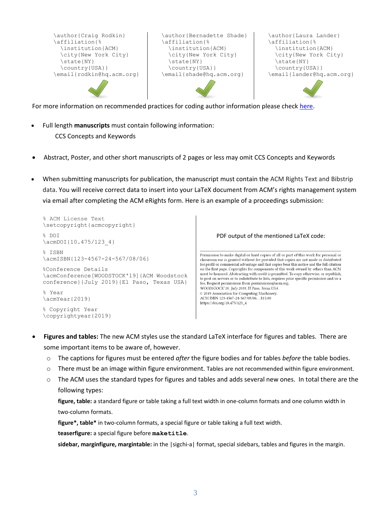```
\author{Craig Rodkin}
\affiliation{%
   \institution{ACM}
   \city{New York City}
   \state{NY}
   \country{USA}}
\email{rodkin@hq.acm.org}
                                 \author{Bernadette Shade}
                                 \affiliation{%
                                    \institution{ACM}
                                    \city{New York City}
                                    \state{NY}
                                    \country{USA}}
                                 \email{shade@hq.acm.org}
                                                                  \author{Laura Lander}
                                                                  \affiliation{%
                                                                     \institution{ACM}
                                                                     \city{New York City}
                                                                     \state{NY}
                                                                     \country{USA}}
                                                                  \email{lander@hq.acm.org}
```
For more information on recommended practices for coding author information please check [here.](https://www.acm.org/binaries/content/assets/publications/consolidated-tex-template/acmart.pdf)

- Full length **manuscripts** must contain following information: CCS Concepts and Keywords
- Abstract, Poster, and other short manuscripts of 2 pages or less may omit CCS Concepts and Keywords
- When submitting manuscripts for publication, the manuscript must contain the ACM Rights Text and Bibstrip data. You will receive correct data to insert into your LaTeX document from ACM's rights management system via email after completing the ACM eRights form. Here is an example of a proceedings submission:

```
% ACM License Text
\setcopyright{acmcopyright}
 % DOI
                                                                                 PDF output of the mentioned LaTeX code:
\acmDOI{10.475/123_4}
 % ISBN
                                                                         Permission to make digital or hard copies of all or part of this work for personal or
\acmISBN{123-4567-24-567/08/06}
                                                                          classroom use is granted without fee provided that copies are not made or distributed
                                                                          for profit or commercial advantage and that copies bear this notice and the full citation
 %Conference Details
                                                                          on the first page. Copyrights for components of this work owned by others than ACM
                                                                          must be honored. Abstracting with credit is permitted. To copy otherwise, or republish,
\acmConference[WOODSTOCK'19]{ACM Woodstock 
                                                                          to post on servers or to redistribute to lists, requires prior specific permission and/or a
conference}{July 2019}{El Paso, Texas USA}
                                                                          fee. Request permissions from permissions@acm.org.
                                                                          WOODSTOCK'19, July 2019, El Paso, Texas USA
% Year
                                                                          © 2019 Association for Computing Machinery.
                                                                          ACM ISBN 123-4567-24-567/08/06...$15.00
\acmYear{2019}
                                                                         \mathrm{https://doi.org/10.475/123\_4} % Copyright Year
\copyrightyear{2019}
```
- **Figures and tables:** The new ACM styles use the standard LaTeX interface for figures and tables. There are some important items to be aware of, however.
	- o The captions for figures must be entered *after* the figure bodies and for tables *before* the table bodies.
	- $\circ$  There must be an image within figure environment. Tables are not recommended within figure environment.
	- o The ACM uses the standard types for figures and tables and adds several new ones. In total there are the following types:

**figure, table:** a standard figure or table taking a full text width in one-column formats and one column width in two-column formats.

**figure\*, table\*** in two-column formats, a special figure or table taking a full text width.

**teaserfigure:** a special figure before **maketitle**.

**sidebar, marginfigure, margintable:** in the |sigchi-a| format, special sidebars, tables and figures in the margin.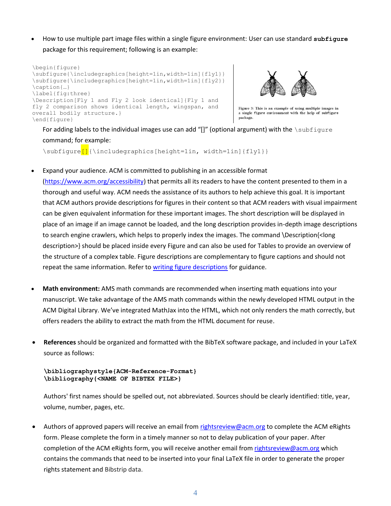How to use multiple part image files within a single figure environment: User can use standard **subfigure** package for this requirement; following is an example:

```
\begin{figure} 
\subfigure{\includegraphics[height=1in,width=1in]{fly1}}
\subfigure{\includegraphics[height=1in,width=1in]{fly2}}
\caption{…}
\label{fig:three}
\Description[Fly 1 and Fly 2 look identical]{Fly 1 and 
fly 2 comparison shows identical length, wingspan, and 
overall bodily structure.}
\end{figure}
```


Figure 3: This is an example of using multiple images in a single figure environment with the help of subfigure package

For adding labels to the individual images use can add "[]" (optional argument) with the \subfigure command; for example:

\subfigure<sup>[]</sup>{\includegraphics[height=1in, width=1in]{fly1}}

Expand your audience. ACM is committed to publishing in an accessible format

[\(https://www.acm.org/accessibility\)](https://www.acm.org/accessibility) that permits all its readers to have the content presented to them in a thorough and useful way. ACM needs the assistance of its authors to help achieve this goal. It is important that ACM authors provide descriptions for figures in their content so that ACM readers with visual impairment can be given equivalent information for these important images. The short description will be displayed in place of an image if an image cannot be loaded, and the long description provides in-depth image descriptions to search engine crawlers, which helps to properly index the images. The command \Description{<long description>} should be placed inside every Figure and can also be used for Tables to provide an overview of the structure of a complex table. Figure descriptions are complementary to figure captions and should not repeat the same information. Refer t[o writing figure descriptions](https://www.acm.org/publications/taps/describing-figures/) for guidance.

- **Math environment:** AMS math commands are recommended when inserting math equations into your manuscript. We take advantage of the AMS math commands within the newly developed HTML output in the ACM Digital Library. We've integrated MathJax into the HTML, which not only renders the math correctly, but offers readers the ability to extract the math from the HTML document for reuse.
- **References** should be organized and formatted with the BibTeX software package, and included in your LaTeX source as follows:

## **\bibliographystyle{ACM-Reference-Format} \bibliography{<NAME OF BIBTEX FILE>}**

Authors' first names should be spelled out, not abbreviated. Sources should be clearly identified: title, year, volume, number, pages, etc.

Authors of approved papers will receive an email from [rightsreview@acm.org](mailto:rightsreview@acm.org) to complete the ACM eRights form. Please complete the form in a timely manner so not to delay publication of your paper. After completion of the ACM eRights form, you will receive another email fro[m rightsreview@acm.org](mailto:rightsreview@acm.org) which contains the commands that need to be inserted into your final LaTeX file in order to generate the proper rights statement and Bibstrip data.